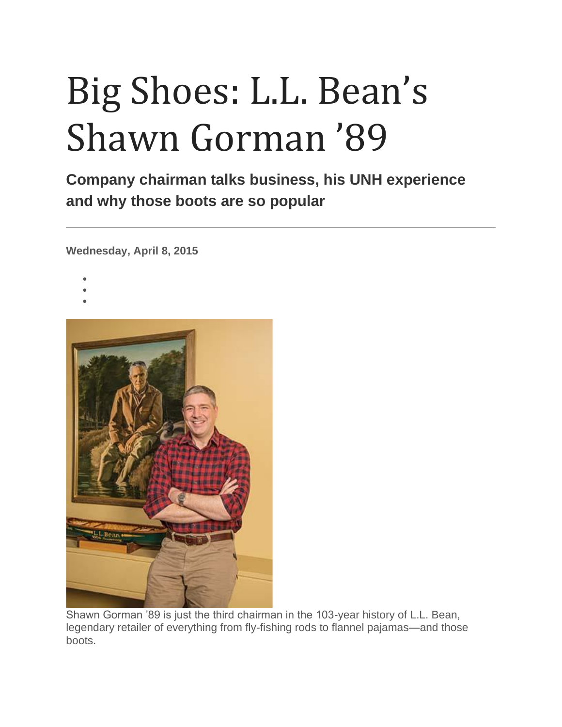# Big Shoes: L.L. Bean's Shawn Gorman '89

**Company chairman talks business, his UNH experience and why those boots are so popular**

**Wednesday, April 8, 2015**

- •
- •
- •



Shawn Gorman '89 is just the third chairman in the 103-year history of L.L. Bean, legendary retailer of everything from fly-fishing rods to flannel pajamas—and those boots.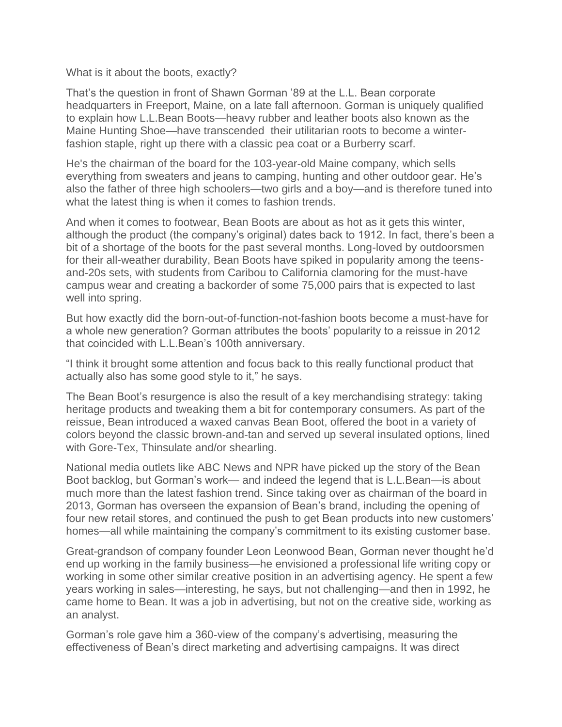What is it about the boots, exactly?

That's the question in front of Shawn Gorman '89 at the L.L. Bean corporate headquarters in Freeport, Maine, on a late fall afternoon. Gorman is uniquely qualified to explain how L.L.Bean Boots—heavy rubber and leather boots also known as the Maine Hunting Shoe—have transcended their utilitarian roots to become a winterfashion staple, right up there with a classic pea coat or a Burberry scarf.

He's the chairman of the board for the 103-year-old Maine company, which sells everything from sweaters and jeans to camping, hunting and other outdoor gear. He's also the father of three high schoolers—two girls and a boy—and is therefore tuned into what the latest thing is when it comes to fashion trends.

And when it comes to footwear, Bean Boots are about as hot as it gets this winter, although the product (the company's original) dates back to 1912. In fact, there's been a bit of a shortage of the boots for the past several months. Long-loved by outdoorsmen for their all-weather durability, Bean Boots have spiked in popularity among the teensand-20s sets, with students from Caribou to California clamoring for the must-have campus wear and creating a backorder of some 75,000 pairs that is expected to last well into spring.

But how exactly did the born-out-of-function-not-fashion boots become a must-have for a whole new generation? Gorman attributes the boots' popularity to a reissue in 2012 that coincided with L.L.Bean's 100th anniversary.

"I think it brought some attention and focus back to this really functional product that actually also has some good style to it," he says.

The Bean Boot's resurgence is also the result of a key merchandising strategy: taking heritage products and tweaking them a bit for contemporary consumers. As part of the reissue, Bean introduced a waxed canvas Bean Boot, offered the boot in a variety of colors beyond the classic brown-and-tan and served up several insulated options, lined with Gore-Tex, Thinsulate and/or shearling.

National media outlets like ABC News and NPR have picked up the story of the Bean Boot backlog, but Gorman's work— and indeed the legend that is L.L.Bean—is about much more than the latest fashion trend. Since taking over as chairman of the board in 2013, Gorman has overseen the expansion of Bean's brand, including the opening of four new retail stores, and continued the push to get Bean products into new customers' homes—all while maintaining the company's commitment to its existing customer base.

Great-grandson of company founder Leon Leonwood Bean, Gorman never thought he'd end up working in the family business—he envisioned a professional life writing copy or working in some other similar creative position in an advertising agency. He spent a few years working in sales—interesting, he says, but not challenging—and then in 1992, he came home to Bean. It was a job in advertising, but not on the creative side, working as an analyst.

Gorman's role gave him a 360-view of the company's advertising, measuring the effectiveness of Bean's direct marketing and advertising campaigns. It was direct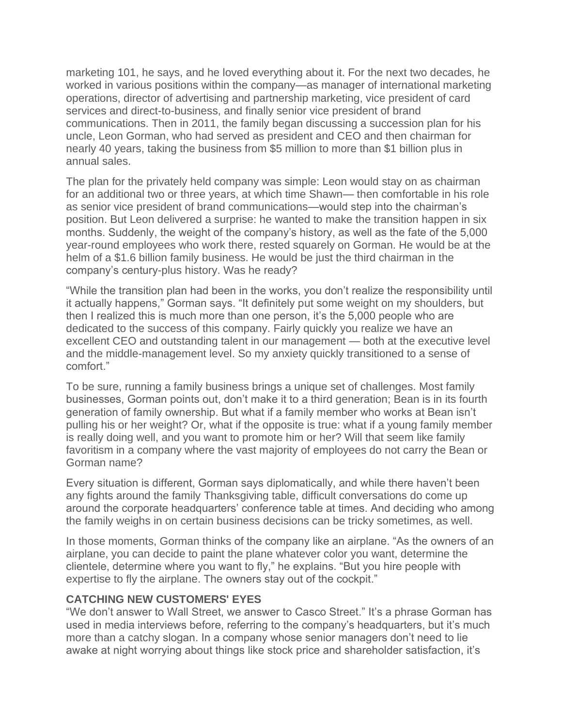marketing 101, he says, and he loved everything about it. For the next two decades, he worked in various positions within the company—as manager of international marketing operations, director of advertising and partnership marketing, vice president of card services and direct-to-business, and finally senior vice president of brand communications. Then in 2011, the family began discussing a succession plan for his uncle, Leon Gorman, who had served as president and CEO and then chairman for nearly 40 years, taking the business from \$5 million to more than \$1 billion plus in annual sales.

The plan for the privately held company was simple: Leon would stay on as chairman for an additional two or three years, at which time Shawn— then comfortable in his role as senior vice president of brand communications—would step into the chairman's position. But Leon delivered a surprise: he wanted to make the transition happen in six months. Suddenly, the weight of the company's history, as well as the fate of the 5,000 year-round employees who work there, rested squarely on Gorman. He would be at the helm of a \$1.6 billion family business. He would be just the third chairman in the company's century-plus history. Was he ready?

"While the transition plan had been in the works, you don't realize the responsibility until it actually happens," Gorman says. "It definitely put some weight on my shoulders, but then I realized this is much more than one person, it's the 5,000 people who are dedicated to the success of this company. Fairly quickly you realize we have an excellent CEO and outstanding talent in our management — both at the executive level and the middle-management level. So my anxiety quickly transitioned to a sense of comfort."

To be sure, running a family business brings a unique set of challenges. Most family businesses, Gorman points out, don't make it to a third generation; Bean is in its fourth generation of family ownership. But what if a family member who works at Bean isn't pulling his or her weight? Or, what if the opposite is true: what if a young family member is really doing well, and you want to promote him or her? Will that seem like family favoritism in a company where the vast majority of employees do not carry the Bean or Gorman name?

Every situation is different, Gorman says diplomatically, and while there haven't been any fights around the family Thanksgiving table, difficult conversations do come up around the corporate headquarters' conference table at times. And deciding who among the family weighs in on certain business decisions can be tricky sometimes, as well.

In those moments, Gorman thinks of the company like an airplane. "As the owners of an airplane, you can decide to paint the plane whatever color you want, determine the clientele, determine where you want to fly," he explains. "But you hire people with expertise to fly the airplane. The owners stay out of the cockpit."

### **CATCHING NEW CUSTOMERS' EYES**

"We don't answer to Wall Street, we answer to Casco Street." It's a phrase Gorman has used in media interviews before, referring to the company's headquarters, but it's much more than a catchy slogan. In a company whose senior managers don't need to lie awake at night worrying about things like stock price and shareholder satisfaction, it's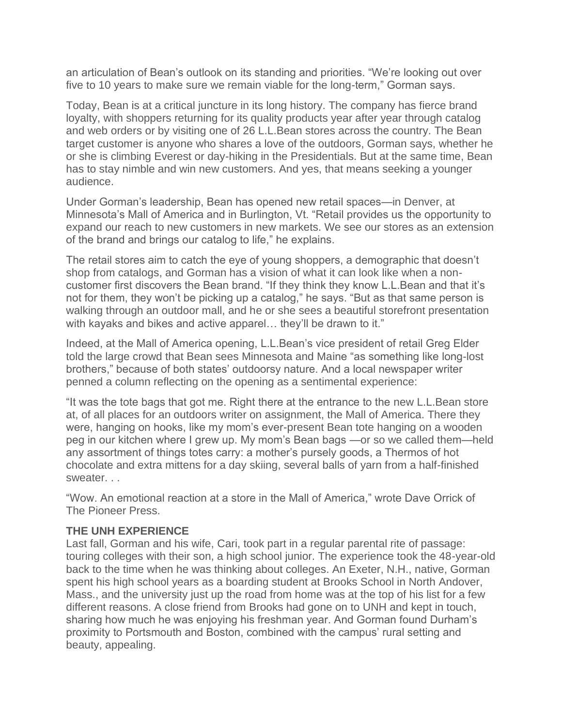an articulation of Bean's outlook on its standing and priorities. "We're looking out over five to 10 years to make sure we remain viable for the long-term," Gorman says.

Today, Bean is at a critical juncture in its long history. The company has fierce brand loyalty, with shoppers returning for its quality products year after year through catalog and web orders or by visiting one of 26 L.L.Bean stores across the country. The Bean target customer is anyone who shares a love of the outdoors, Gorman says, whether he or she is climbing Everest or day-hiking in the Presidentials. But at the same time, Bean has to stay nimble and win new customers. And yes, that means seeking a younger audience.

Under Gorman's leadership, Bean has opened new retail spaces—in Denver, at Minnesota's Mall of America and in Burlington, Vt. "Retail provides us the opportunity to expand our reach to new customers in new markets. We see our stores as an extension of the brand and brings our catalog to life," he explains.

The retail stores aim to catch the eye of young shoppers, a demographic that doesn't shop from catalogs, and Gorman has a vision of what it can look like when a noncustomer first discovers the Bean brand. "If they think they know L.L.Bean and that it's not for them, they won't be picking up a catalog," he says. "But as that same person is walking through an outdoor mall, and he or she sees a beautiful storefront presentation with kayaks and bikes and active apparel... they'll be drawn to it."

Indeed, at the Mall of America opening, L.L.Bean's vice president of retail Greg Elder told the large crowd that Bean sees Minnesota and Maine "as something like long-lost brothers," because of both states' outdoorsy nature. And a local newspaper writer penned a column reflecting on the opening as a sentimental experience:

"It was the tote bags that got me. Right there at the entrance to the new L.L.Bean store at, of all places for an outdoors writer on assignment, the Mall of America. There they were, hanging on hooks, like my mom's ever-present Bean tote hanging on a wooden peg in our kitchen where I grew up. My mom's Bean bags —or so we called them—held any assortment of things totes carry: a mother's pursely goods, a Thermos of hot chocolate and extra mittens for a day skiing, several balls of yarn from a half-finished sweater. . .

"Wow. An emotional reaction at a store in the Mall of America," wrote Dave Orrick of The Pioneer Press.

### **THE UNH EXPERIENCE**

Last fall, Gorman and his wife, Cari, took part in a regular parental rite of passage: touring colleges with their son, a high school junior. The experience took the 48-year-old back to the time when he was thinking about colleges. An Exeter, N.H., native, Gorman spent his high school years as a boarding student at Brooks School in North Andover, Mass., and the university just up the road from home was at the top of his list for a few different reasons. A close friend from Brooks had gone on to UNH and kept in touch, sharing how much he was enjoying his freshman year. And Gorman found Durham's proximity to Portsmouth and Boston, combined with the campus' rural setting and beauty, appealing.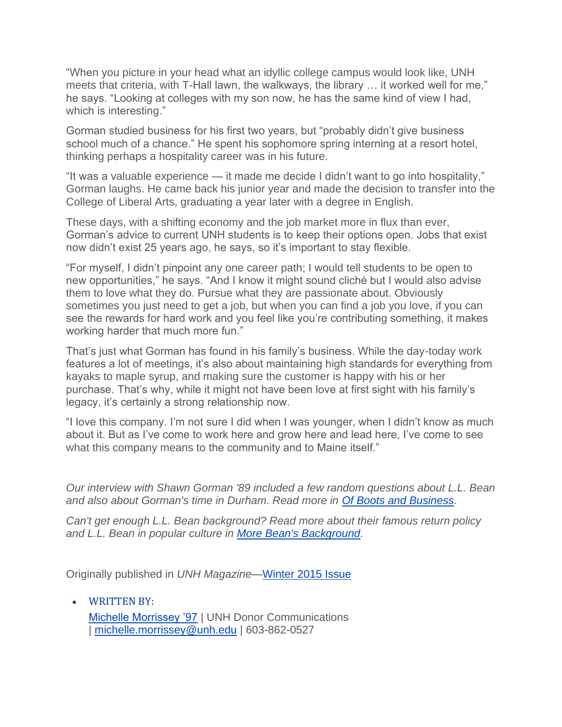"When you picture in your head what an idyllic college campus would look like, UNH meets that criteria, with T-Hall lawn, the walkways, the library … it worked well for me," he says. "Looking at colleges with my son now, he has the same kind of view I had, which is interesting."

Gorman studied business for his first two years, but "probably didn't give business school much of a chance." He spent his sophomore spring interning at a resort hotel, thinking perhaps a hospitality career was in his future.

"It was a valuable experience — it made me decide I didn't want to go into hospitality," Gorman laughs. He came back his junior year and made the decision to transfer into the College of Liberal Arts, graduating a year later with a degree in English.

These days, with a shifting economy and the job market more in flux than ever, Gorman's advice to current UNH students is to keep their options open. Jobs that exist now didn't exist 25 years ago, he says, so it's important to stay flexible.

"For myself, I didn't pinpoint any one career path; I would tell students to be open to new opportunities," he says. "And I know it might sound cliché but I would also advise them to love what they do. Pursue what they are passionate about. Obviously sometimes you just need to get a job, but when you can find a job you love, if you can see the rewards for hard work and you feel like you're contributing something, it makes working harder that much more fun."

That's just what Gorman has found in his family's business. While the day-today work features a lot of meetings, it's also about maintaining high standards for everything from kayaks to maple syrup, and making sure the customer is happy with his or her purchase. That's why, while it might not have been love at first sight with his family's legacy, it's certainly a strong relationship now.

"I love this company. I'm not sure I did when I was younger, when I didn't know as much about it. But as I've come to work here and grow here and lead here, I've come to see what this company means to the community and to Maine itself."

*Our interview with Shawn Gorman '89 included a few random questions about L.L. Bean and also about Gorman's time in Durham. Read more in [Of Boots and Business.](https://www.unh.edu/unhtoday/2015/03/boots-and-business)*

*Can't get enough L.L. Bean background? Read more about their famous return policy and L.L. Bean in popular culture in [More Bean's Background.](https://www.unh.edu/unhtoday/2015/04/more-beans-background)*

Originally published in *UNH Magazine*[—Winter 2015 Issue](http://unhconnect.unh.edu/magazine-winter-2015)

• WRITTEN BY: [Michelle Morrissey '97](https://www.unh.edu/unhtoday/contributor/michelle-morrissey-97) | UNH Donor Communications | [michelle.morrissey@unh.edu](mailto:michelle.morrissey@unh.edu) | 603-862-0527